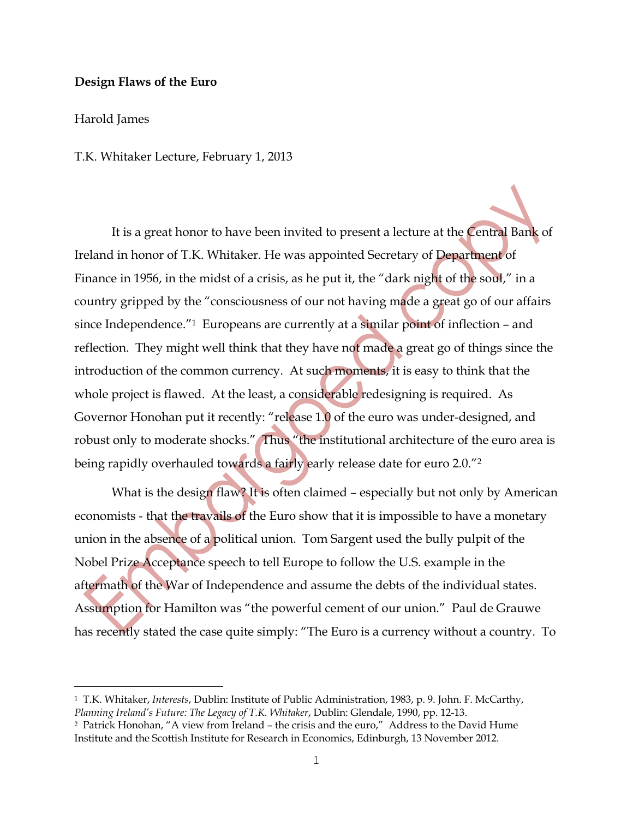### **Design Flaws of the Euro**

Harold James

÷.

T.K. Whitaker Lecture, February 1, 2013

It is a great honor to have been invited to present a lecture at the Central Bank of Ireland in honor of T.K. Whitaker. He was appointed Secretary of Department of Finance in 1956, in the midst of a crisis, as he put it, the "dark night of the soul," in a country gripped by the "consciousness of our not having made a great go of our affairs since Independence."<sup>1</sup> Europeans are currently at a similar point of inflection – and reflection. They might well think that they have not made a great go of things since the introduction of the common currency. At such moments, it is easy to think that the whole project is flawed. At the least, a considerable redesigning is required. As Governor Honohan put it recently: "release 1.0 of the euro was under-designed, and robust only to moderate shocks." Thus "the institutional architecture of the euro area is being rapidly overhauled towards a fairly early release date for euro 2.0."<sup>2</sup>

What is the design flaw? It is often claimed – especially but not only by American economists - that the travails of the Euro show that it is impossible to have a monetary union in the absence of a political union. Tom Sargent used the bully pulpit of the Nobel Prize Acceptance speech to tell Europe to follow the U.S. example in the aftermath of the War of Independence and assume the debts of the individual states. Assumption for Hamilton was "the powerful cement of our union." Paul de Grauwe has recently stated the case quite simply: "The Euro is a currency without a country. To

<sup>1</sup> T.K. Whitaker, *Interests*, Dublin: Institute of Public Administration, 1983, p. 9. John. F. McCarthy, *Planning Ireland's Future: The Legacy of T.K. Whitaker*, Dublin: Glendale, 1990, pp. 12-13.

<sup>2</sup> Patrick Honohan, "A view from Ireland – the crisis and the euro," Address to the David Hume Institute and the Scottish Institute for Research in Economics, Edinburgh, 13 November 2012.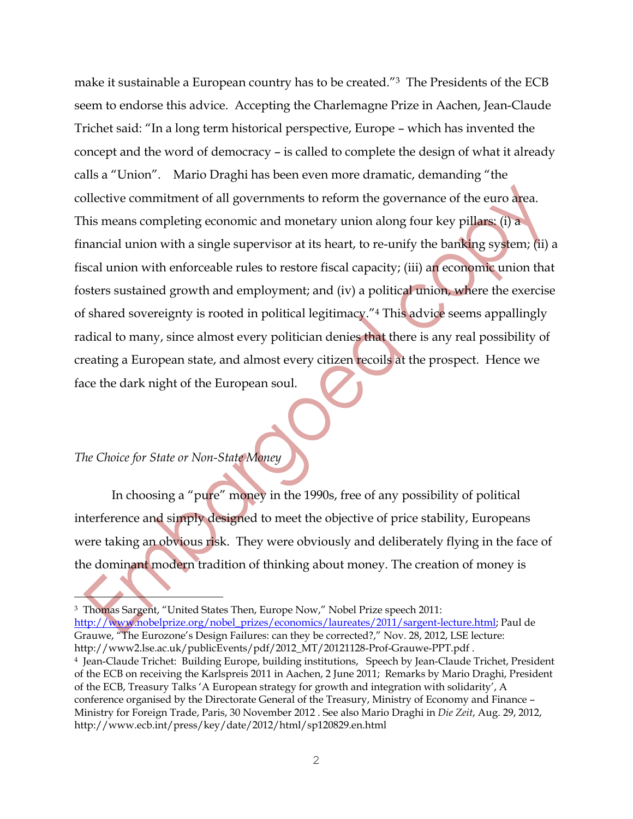make it sustainable a European country has to be created."<sup>3</sup> The Presidents of the ECB seem to endorse this advice. Accepting the Charlemagne Prize in Aachen, Jean-Claude Trichet said: "In a long term historical perspective, Europe – which has invented the concept and the word of democracy – is called to complete the design of what it already calls a "Union". Mario Draghi has been even more dramatic, demanding "the collective commitment of all governments to reform the governance of the euro area. This means completing economic and monetary union along four key pillars: (i) a financial union with a single supervisor at its heart, to re-unify the banking system; (ii) a fiscal union with enforceable rules to restore fiscal capacity; (iii) an economic union that fosters sustained growth and employment; and (iv) a political union, where the exercise of shared sovereignty is rooted in political legitimacy."<sup>4</sup> This advice seems appallingly radical to many, since almost every politician denies that there is any real possibility of creating a European state, and almost every citizen recoils at the prospect. Hence we face the dark night of the European soul.

## *The Choice for State or Non-State Money*

÷.

In choosing a "pure" money in the 1990s, free of any possibility of political interference and simply designed to meet the objective of price stability, Europeans were taking an obvious risk. They were obviously and deliberately flying in the face of the dominant modern tradition of thinking about money. The creation of money is

3 Thomas Sargent, "United States Then, Europe Now," Nobel Prize speech 2011: [http://www.nobelprize.org/nobel\\_prizes/economics/laureates/2011/sargent-lecture.html;](http://www.nobelprize.org/nobel_prizes/economics/laureates/2011/sargent-lecture.html) Paul de Grauwe, "The Eurozone's Design Failures: can they be corrected?," Nov. 28, 2012, LSE lecture: http://www2.lse.ac.uk/publicEvents/pdf/2012\_MT/20121128-Prof-Grauwe-PPT.pdf . 4 Jean-Claude Trichet: Building Europe, building institutions, Speech by Jean-Claude Trichet, President of the ECB on receiving the Karlspreis 2011 in Aachen, 2 June 2011; Remarks by Mario Draghi, President of the ECB, Treasury Talks 'A European strategy for growth and integration with solidarity', A conference organised by the Directorate General of the Treasury, Ministry of Economy and Finance – Ministry for Foreign Trade, Paris, 30 November 2012 . See also Mario Draghi in *Die Zeit*, Aug. 29, 2012, http://www.ecb.int/press/key/date/2012/html/sp120829.en.html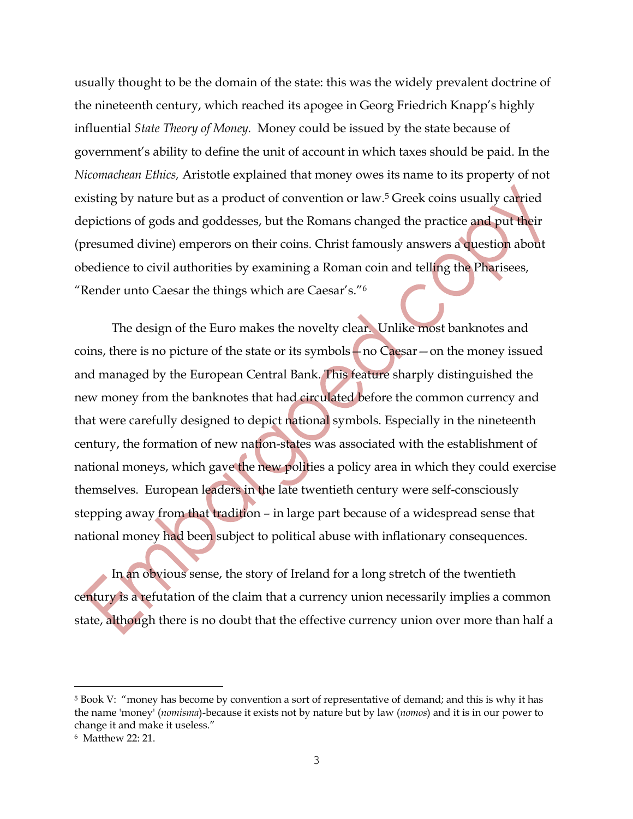usually thought to be the domain of the state: this was the widely prevalent doctrine of the nineteenth century, which reached its apogee in Georg Friedrich Knapp's highly influential *State Theory of Money.* Money could be issued by the state because of government's ability to define the unit of account in which taxes should be paid. In the *Nicomachean Ethics,* Aristotle explained that money owes its name to its property of not existing by nature but as a product of convention or law.<sup>5</sup> Greek coins usually carried depictions of gods and goddesses, but the Romans changed the practice and put their (presumed divine) emperors on their coins. Christ famously answers a question about obedience to civil authorities by examining a Roman coin and telling the Pharisees, "Render unto Caesar the things which are Caesar's."<sup>6</sup>

The design of the Euro makes the novelty clear. Unlike most banknotes and coins, there is no picture of the state or its symbols—no Caesar—on the money issued and managed by the European Central Bank. This feature sharply distinguished the new money from the banknotes that had circulated before the common currency and that were carefully designed to depict national symbols. Especially in the nineteenth century, the formation of new nation-states was associated with the establishment of national moneys, which gave the new polities a policy area in which they could exercise themselves. European leaders in the late twentieth century were self-consciously stepping away from that tradition – in large part because of a widespread sense that national money had been subject to political abuse with inflationary consequences.

In an obvious sense, the story of Ireland for a long stretch of the twentieth century is a refutation of the claim that a currency union necessarily implies a common state, although there is no doubt that the effective currency union over more than half a

<sup>5</sup> Book V: "money has become by convention a sort of representative of demand; and this is why it has the name 'money' (*nomisma*)-because it exists not by nature but by law (*nomos*) and it is in our power to change it and make it useless."

<sup>6</sup> Matthew 22: 21.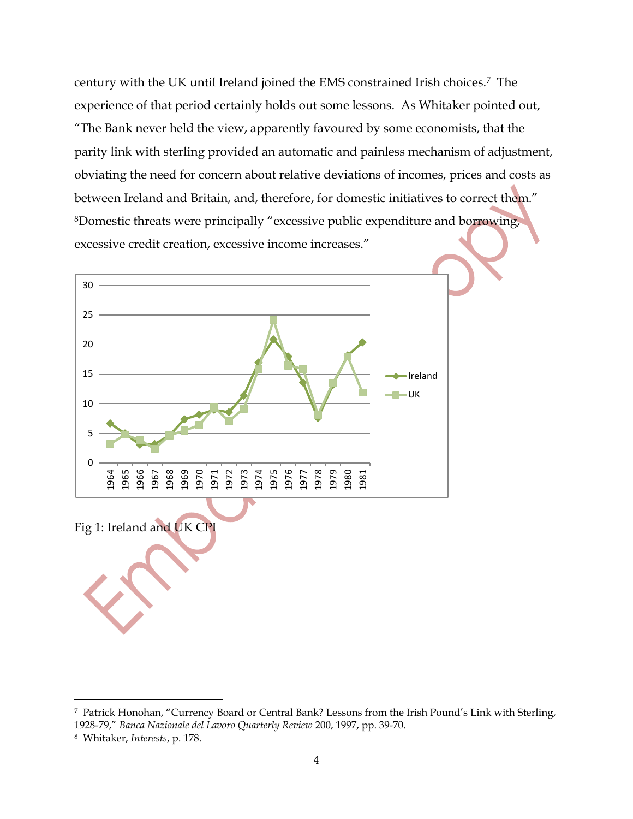century with the UK until Ireland joined the EMS constrained Irish choices.<sup>7</sup> The experience of that period certainly holds out some lessons. As Whitaker pointed out, "The Bank never held the view, apparently favoured by some economists, that the parity link with sterling provided an automatic and painless mechanism of adjustment, obviating the need for concern about relative deviations of incomes, prices and costs as between Ireland and Britain, and, therefore, for domestic initiatives to correct them." Domestic threats were principally "excessive public expenditure and borrowing, excessive credit creation, excessive income increases."



 Patrick Honohan, "Currency Board or Central Bank? Lessons from the Irish Pound's Link with Sterling, 1928-79," *Banca Nazionale del Lavoro Quarterly Review* 200, 1997, pp. 39-70.

Whitaker, *Interests*, p. 178.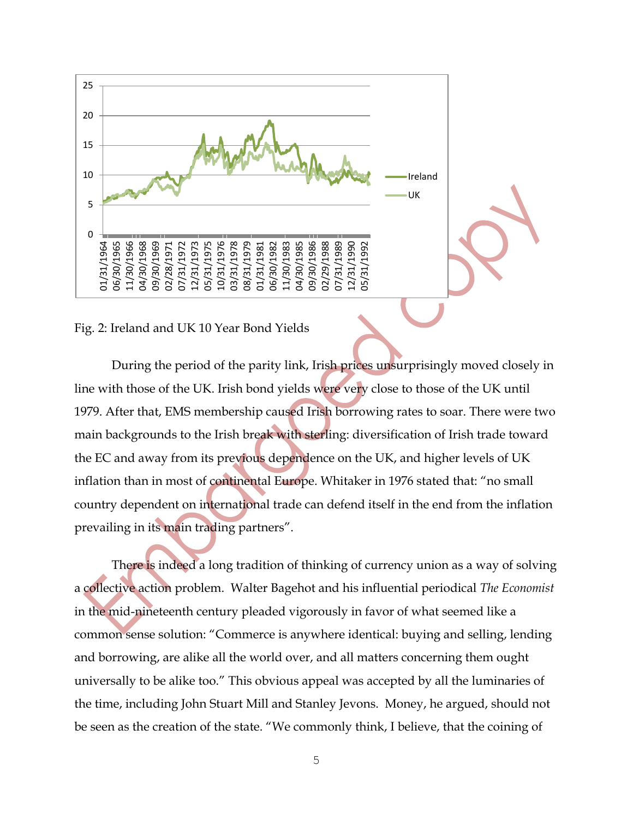



During the period of the parity link, Irish prices unsurprisingly moved closely in line with those of the UK. Irish bond yields were very close to those of the UK until 1979. After that, EMS membership caused Irish borrowing rates to soar. There were two main backgrounds to the Irish break with sterling: diversification of Irish trade toward the EC and away from its previous dependence on the UK, and higher levels of UK inflation than in most of continental Europe. Whitaker in 1976 stated that: "no small country dependent on international trade can defend itself in the end from the inflation prevailing in its main trading partners".

There is indeed a long tradition of thinking of currency union as a way of solving a collective action problem. Walter Bagehot and his influential periodical *The Economist* in the mid-nineteenth century pleaded vigorously in favor of what seemed like a common sense solution: "Commerce is anywhere identical: buying and selling, lending and borrowing, are alike all the world over, and all matters concerning them ought universally to be alike too." This obvious appeal was accepted by all the luminaries of the time, including John Stuart Mill and Stanley Jevons. Money, he argued, should not be seen as the creation of the state. "We commonly think, I believe, that the coining of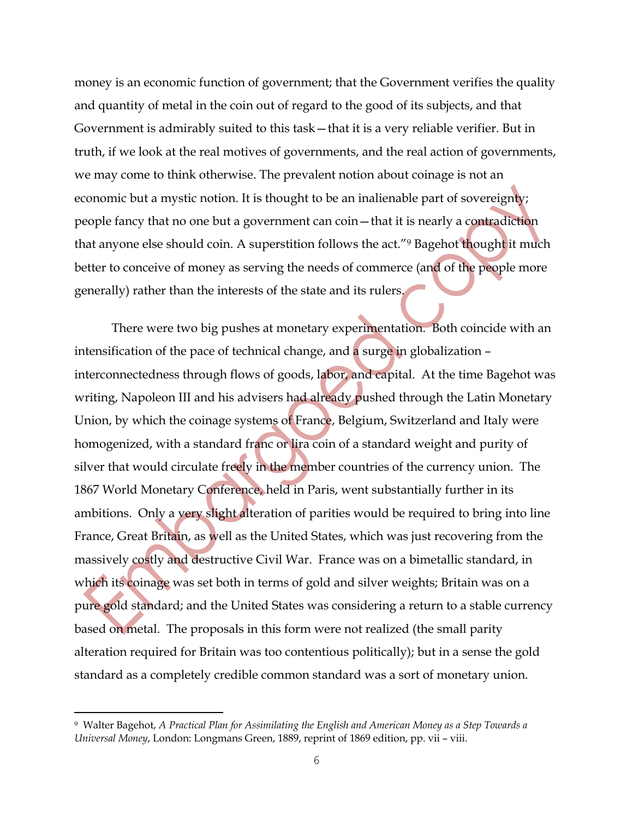money is an economic function of government; that the Government verifies the quality and quantity of metal in the coin out of regard to the good of its subjects, and that Government is admirably suited to this task—that it is a very reliable verifier. But in truth, if we look at the real motives of governments, and the real action of governments, we may come to think otherwise. The prevalent notion about coinage is not an economic but a mystic notion. It is thought to be an inalienable part of sovereignty; people fancy that no one but a government can coin—that it is nearly a contradiction that anyone else should coin. A superstition follows the act."<sup>9</sup> Bagehot thought it much better to conceive of money as serving the needs of commerce (and of the people more generally) rather than the interests of the state and its rulers.

There were two big pushes at monetary experimentation. Both coincide with an intensification of the pace of technical change, and a surge in globalization interconnectedness through flows of goods, labor, and capital. At the time Bagehot was writing, Napoleon III and his advisers had already pushed through the Latin Monetary Union, by which the coinage systems of France, Belgium, Switzerland and Italy were homogenized, with a standard franc or lira coin of a standard weight and purity of silver that would circulate freely in the member countries of the currency union. The 1867 World Monetary Conference, held in Paris, went substantially further in its ambitions. Only a very slight alteration of parities would be required to bring into line France, Great Britain, as well as the United States, which was just recovering from the massively costly and destructive Civil War. France was on a bimetallic standard, in which its coinage was set both in terms of gold and silver weights; Britain was on a pure gold standard; and the United States was considering a return to a stable currency based on metal. The proposals in this form were not realized (the small parity alteration required for Britain was too contentious politically); but in a sense the gold standard as a completely credible common standard was a sort of monetary union.

<sup>9</sup> Walter Bagehot, *A Practical Plan for Assimilating the English and American Money as a Step Towards a Universal Money*, London: Longmans Green, 1889, reprint of 1869 edition, pp. vii – viii.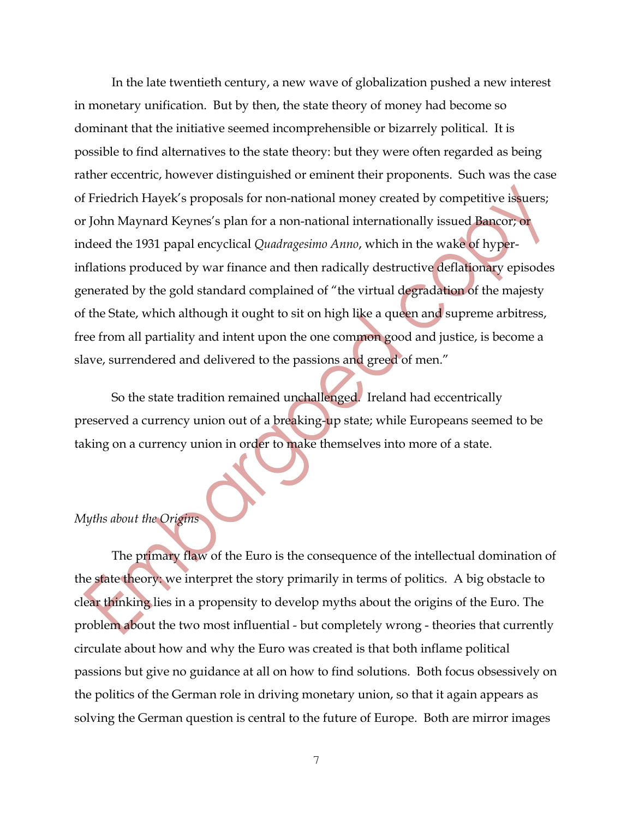In the late twentieth century, a new wave of globalization pushed a new interest in monetary unification. But by then, the state theory of money had become so dominant that the initiative seemed incomprehensible or bizarrely political. It is possible to find alternatives to the state theory: but they were often regarded as being rather eccentric, however distinguished or eminent their proponents. Such was the case of Friedrich Hayek's proposals for non-national money created by competitive issuers; or John Maynard Keynes's plan for a non-national internationally issued Bancor; or indeed the 1931 papal encyclical *Quadragesimo Anno*, which in the wake of hyperinflations produced by war finance and then radically destructive deflationary episodes generated by the gold standard complained of "the virtual degradation of the majesty of the State, which although it ought to sit on high like a queen and supreme arbitress, free from all partiality and intent upon the one common good and justice, is become a slave, surrendered and delivered to the passions and greed of men."

So the state tradition remained unchallenged. Ireland had eccentrically preserved a currency union out of a breaking-up state; while Europeans seemed to be taking on a currency union in order to make themselves into more of a state.

# *Myths about the Origins*

The primary flaw of the Euro is the consequence of the intellectual domination of the state theory: we interpret the story primarily in terms of politics. A big obstacle to clear thinking lies in a propensity to develop myths about the origins of the Euro. The problem about the two most influential - but completely wrong - theories that currently circulate about how and why the Euro was created is that both inflame political passions but give no guidance at all on how to find solutions. Both focus obsessively on the politics of the German role in driving monetary union, so that it again appears as solving the German question is central to the future of Europe. Both are mirror images

7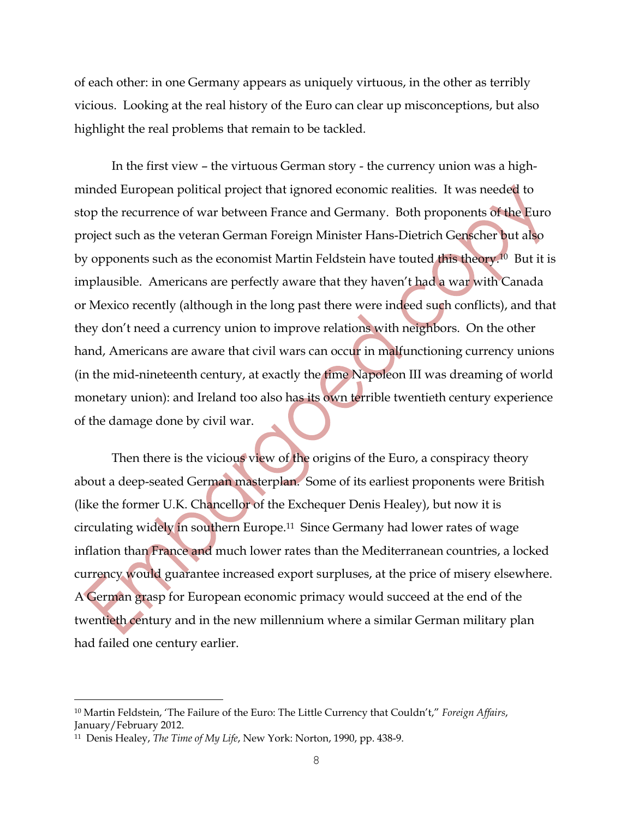of each other: in one Germany appears as uniquely virtuous, in the other as terribly vicious. Looking at the real history of the Euro can clear up misconceptions, but also highlight the real problems that remain to be tackled.

In the first view – the virtuous German story - the currency union was a highminded European political project that ignored economic realities. It was needed to stop the recurrence of war between France and Germany. Both proponents of the Euro project such as the veteran German Foreign Minister Hans-Dietrich Genscher but also by opponents such as the economist Martin Feldstein have touted this theory.<sup>10</sup> But it is implausible. Americans are perfectly aware that they haven't had a war with Canada or Mexico recently (although in the long past there were indeed such conflicts), and that they don't need a currency union to improve relations with neighbors. On the other hand, Americans are aware that civil wars can occur in malfunctioning currency unions (in the mid-nineteenth century, at exactly the time Napoleon III was dreaming of world monetary union): and Ireland too also has its own terrible twentieth century experience of the damage done by civil war.

Then there is the vicious view of the origins of the Euro, a conspiracy theory about a deep-seated German masterplan. Some of its earliest proponents were British (like the former U.K. Chancellor of the Exchequer Denis Healey), but now it is circulating widely in southern Europe.<sup>11</sup> Since Germany had lower rates of wage inflation than France and much lower rates than the Mediterranean countries, a locked currency would guarantee increased export surpluses, at the price of misery elsewhere. A German grasp for European economic primacy would succeed at the end of the twentieth century and in the new millennium where a similar German military plan had failed one century earlier.

<sup>10</sup> Martin Feldstein, 'The Failure of the Euro: The Little Currency that Couldn't," *Foreign Affairs*, January/February 2012.

<sup>11</sup> Denis Healey, *The Time of My Life*, New York: Norton, 1990, pp. 438-9.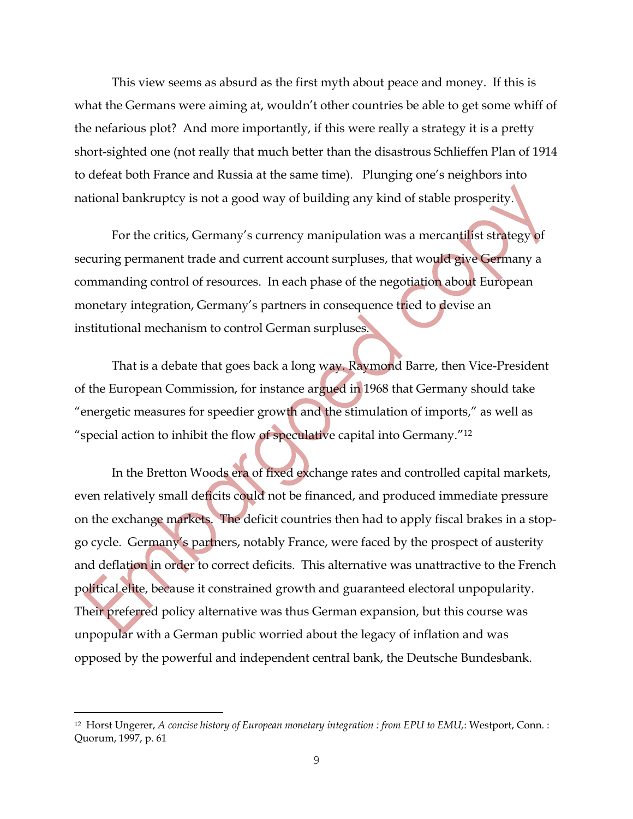This view seems as absurd as the first myth about peace and money. If this is what the Germans were aiming at, wouldn't other countries be able to get some whiff of the nefarious plot? And more importantly, if this were really a strategy it is a pretty short-sighted one (not really that much better than the disastrous Schlieffen Plan of 1914 to defeat both France and Russia at the same time). Plunging one's neighbors into national bankruptcy is not a good way of building any kind of stable prosperity.

For the critics, Germany's currency manipulation was a mercantilist strategy of securing permanent trade and current account surpluses, that would give Germany a commanding control of resources. In each phase of the negotiation about European monetary integration, Germany's partners in consequence tried to devise an institutional mechanism to control German surpluses.

That is a debate that goes back a long way. Raymond Barre, then Vice-President of the European Commission, for instance argued in 1968 that Germany should take "energetic measures for speedier growth and the stimulation of imports," as well as "special action to inhibit the flow of speculative capital into Germany."<sup>12</sup>

In the Bretton Woods era of fixed exchange rates and controlled capital markets, even relatively small deficits could not be financed, and produced immediate pressure on the exchange markets. The deficit countries then had to apply fiscal brakes in a stopgo cycle. Germany's partners, notably France, were faced by the prospect of austerity and deflation in order to correct deficits. This alternative was unattractive to the French political elite, because it constrained growth and guaranteed electoral unpopularity. Their preferred policy alternative was thus German expansion, but this course was unpopular with a German public worried about the legacy of inflation and was opposed by the powerful and independent central bank, the Deutsche Bundesbank.

<sup>12</sup> Horst Ungerer, *A concise history of European monetary integration : from EPU to EMU,*: Westport, Conn. : Quorum, 1997, p. 61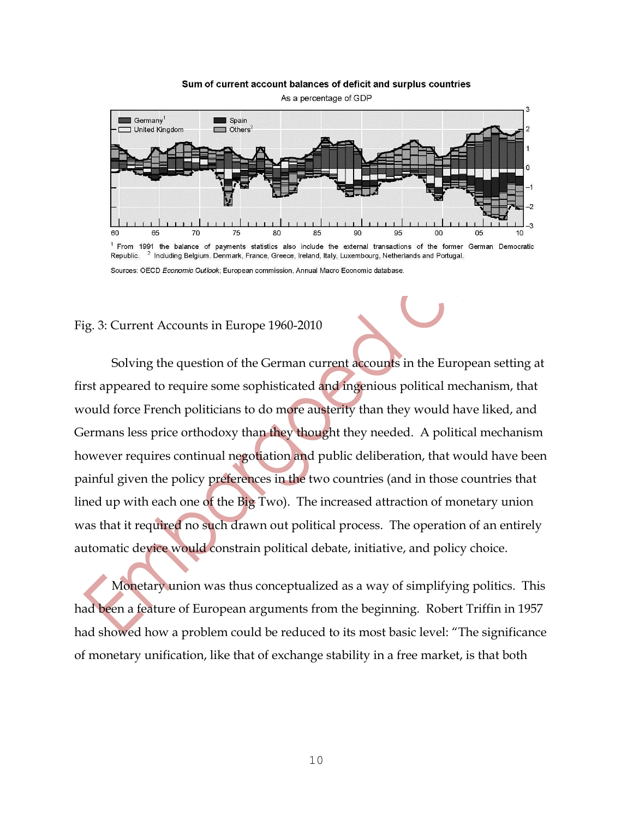#### Sum of current account balances of deficit and surplus countries



<sup>1</sup> From 1991 the balance of payments statistics also include the external transactions of the former German Democratic <sup>2</sup> Including Belgium. Denmark, France, Greece, Ireland, Italy, Luxembourg, Netherlands and Portugal. Republic.

### Fig. 3: Current Accounts in Europe 1960-2010

Solving the question of the German current accounts in the European setting at first appeared to require some sophisticated and ingenious political mechanism, that would force French politicians to do more austerity than they would have liked, and Germans less price orthodoxy than they thought they needed. A political mechanism however requires continual negotiation and public deliberation, that would have been painful given the policy preferences in the two countries (and in those countries that lined up with each one of the Big Two). The increased attraction of monetary union was that it required no such drawn out political process. The operation of an entirely automatic device would constrain political debate, initiative, and policy choice.

Monetary union was thus conceptualized as a way of simplifying politics. This had been a feature of European arguments from the beginning. Robert Triffin in 1957 had showed how a problem could be reduced to its most basic level: "The significance of monetary unification, like that of exchange stability in a free market, is that both

Sources: OECD Economic Outlook; European commission, Annual Macro Economic database.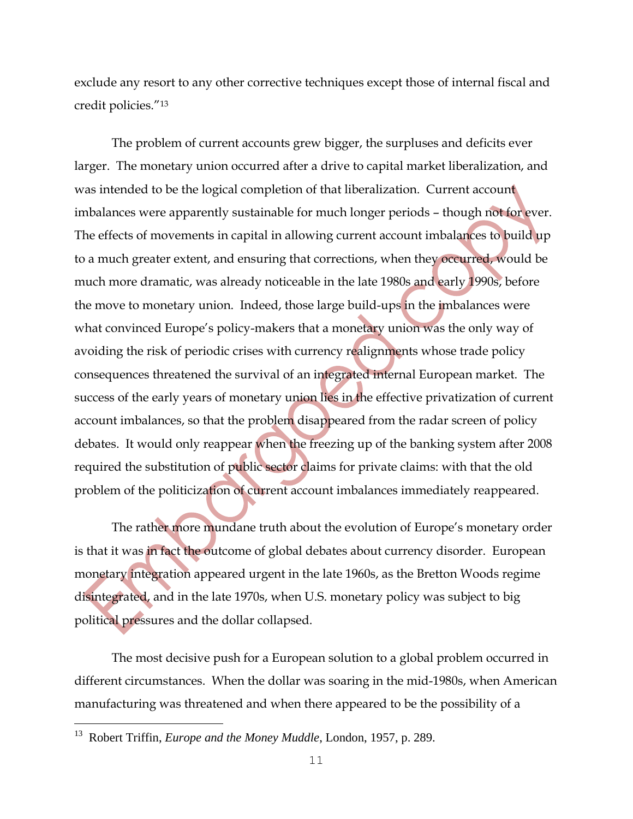exclude any resort to any other corrective techniques except those of internal fiscal and credit policies."<sup>13</sup>

The problem of current accounts grew bigger, the surpluses and deficits ever larger. The monetary union occurred after a drive to capital market liberalization, and was intended to be the logical completion of that liberalization. Current account imbalances were apparently sustainable for much longer periods – though not for ever. The effects of movements in capital in allowing current account imbalances to build up to a much greater extent, and ensuring that corrections, when they occurred, would be much more dramatic, was already noticeable in the late 1980s and early 1990s, before the move to monetary union. Indeed, those large build-ups in the imbalances were what convinced Europe's policy-makers that a monetary union was the only way of avoiding the risk of periodic crises with currency realignments whose trade policy consequences threatened the survival of an integrated internal European market. The success of the early years of monetary union lies in the effective privatization of current account imbalances, so that the problem disappeared from the radar screen of policy debates. It would only reappear when the freezing up of the banking system after 2008 required the substitution of public sector claims for private claims: with that the old problem of the politicization of current account imbalances immediately reappeared.

The rather more mundane truth about the evolution of Europe's monetary order is that it was in fact the outcome of global debates about currency disorder. European monetary integration appeared urgent in the late 1960s, as the Bretton Woods regime disintegrated, and in the late 1970s, when U.S. monetary policy was subject to big political pressures and the dollar collapsed.

The most decisive push for a European solution to a global problem occurred in different circumstances. When the dollar was soaring in the mid-1980s, when American manufacturing was threatened and when there appeared to be the possibility of a

<sup>13</sup> Robert Triffin, *Europe and the Money Muddle*, London, 1957, p. 289.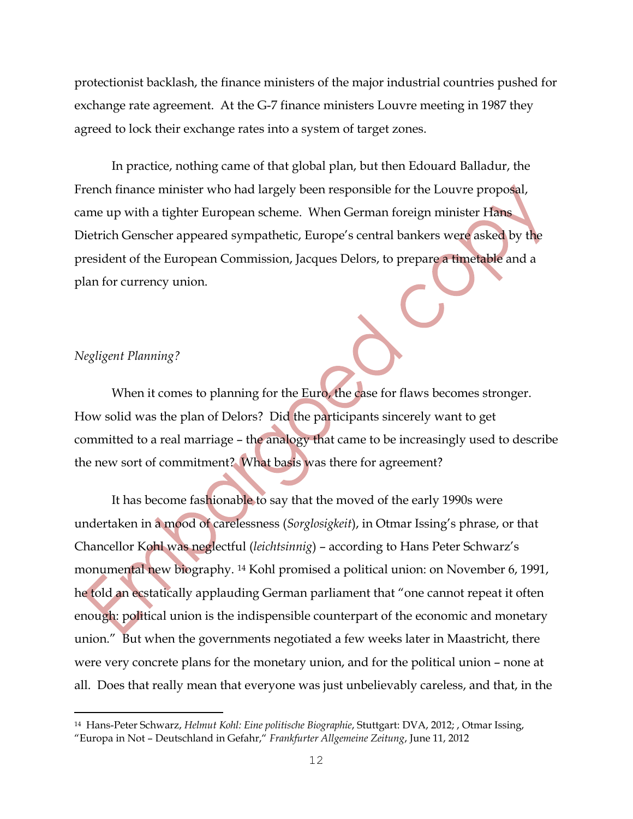protectionist backlash, the finance ministers of the major industrial countries pushed for exchange rate agreement. At the G-7 finance ministers Louvre meeting in 1987 they agreed to lock their exchange rates into a system of target zones.

In practice, nothing came of that global plan, but then Edouard Balladur, the French finance minister who had largely been responsible for the Louvre proposal, came up with a tighter European scheme. When German foreign minister Hans Dietrich Genscher appeared sympathetic, Europe's central bankers were asked by the president of the European Commission, Jacques Delors, to prepare a timetable and a plan for currency union.

## *Negligent Planning?*

i<br>L

When it comes to planning for the Euro, the case for flaws becomes stronger. How solid was the plan of Delors? Did the participants sincerely want to get committed to a real marriage – the analogy that came to be increasingly used to describe the new sort of commitment? What basis was there for agreement?

It has become fashionable to say that the moved of the early 1990s were undertaken in a mood of carelessness (*Sorglosigkeit*), in Otmar Issing's phrase, or that Chancellor Kohl was neglectful (*leichtsinnig*) – according to Hans Peter Schwarz's monumental new biography. <sup>14</sup> Kohl promised a political union: on November 6, 1991, he told an ecstatically applauding German parliament that "one cannot repeat it often enough: political union is the indispensible counterpart of the economic and monetary union." But when the governments negotiated a few weeks later in Maastricht, there were very concrete plans for the monetary union, and for the political union – none at all. Does that really mean that everyone was just unbelievably careless, and that, in the

<sup>14</sup> Hans-Peter Schwarz, *Helmut Kohl: Eine politische Biographie*, Stuttgart: DVA, 2012; , Otmar Issing, "Europa in Not – Deutschland in Gefahr," *Frankfurter Allgemeine Zeitung*, June 11, 2012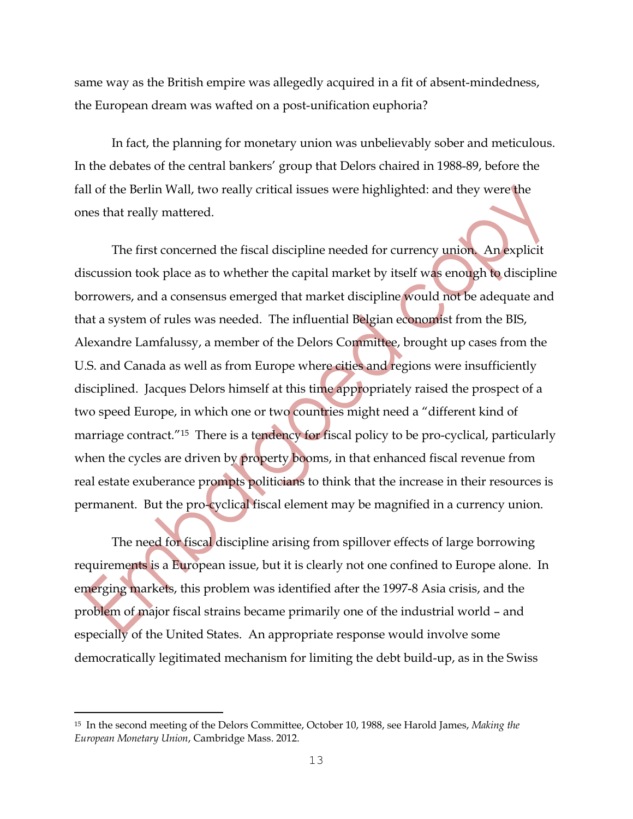same way as the British empire was allegedly acquired in a fit of absent-mindedness, the European dream was wafted on a post-unification euphoria?

In fact, the planning for monetary union was unbelievably sober and meticulous. In the debates of the central bankers' group that Delors chaired in 1988-89, before the fall of the Berlin Wall, two really critical issues were highlighted: and they were the ones that really mattered.

The first concerned the fiscal discipline needed for currency union. An explicit discussion took place as to whether the capital market by itself was enough to discipline borrowers, and a consensus emerged that market discipline would not be adequate and that a system of rules was needed. The influential Belgian economist from the BIS, Alexandre Lamfalussy, a member of the Delors Committee, brought up cases from the U.S. and Canada as well as from Europe where cities and regions were insufficiently disciplined. Jacques Delors himself at this time appropriately raised the prospect of a two speed Europe, in which one or two countries might need a "different kind of marriage contract."<sup>15</sup> There is a tendency for fiscal policy to be pro-cyclical, particularly when the cycles are driven by property booms, in that enhanced fiscal revenue from real estate exuberance prompts politicians to think that the increase in their resources is permanent. But the pro-cyclical fiscal element may be magnified in a currency union.

The need for fiscal discipline arising from spillover effects of large borrowing requirements is a European issue, but it is clearly not one confined to Europe alone. In emerging markets, this problem was identified after the 1997-8 Asia crisis, and the problem of major fiscal strains became primarily one of the industrial world – and especially of the United States. An appropriate response would involve some democratically legitimated mechanism for limiting the debt build-up, as in the Swiss

i<br>L

<sup>15</sup> In the second meeting of the Delors Committee, October 10, 1988, see Harold James, *Making the European Monetary Union*, Cambridge Mass. 2012.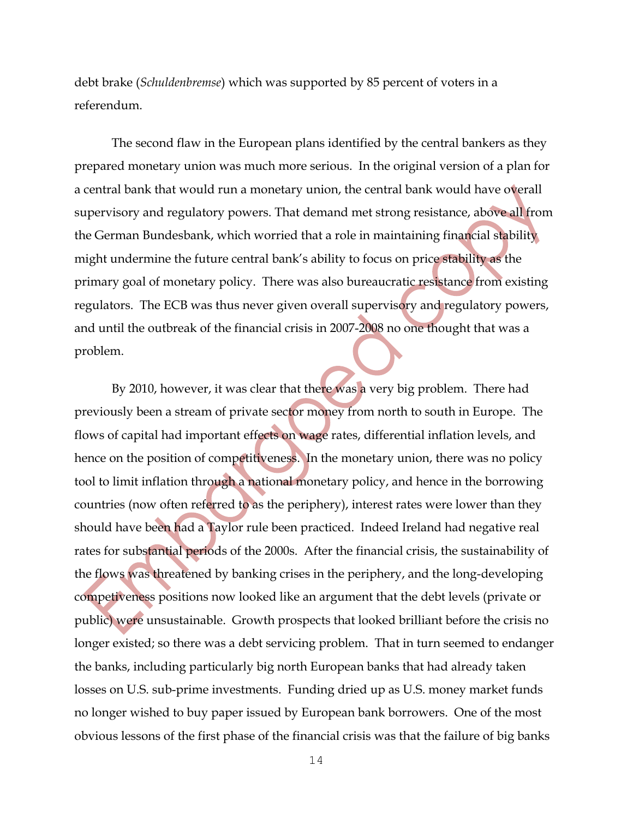debt brake (*Schuldenbremse*) which was supported by 85 percent of voters in a referendum.

The second flaw in the European plans identified by the central bankers as they prepared monetary union was much more serious. In the original version of a plan for a central bank that would run a monetary union, the central bank would have overall supervisory and regulatory powers. That demand met strong resistance, above all from the German Bundesbank, which worried that a role in maintaining financial stability might undermine the future central bank's ability to focus on price stability as the primary goal of monetary policy. There was also bureaucratic resistance from existing regulators. The ECB was thus never given overall supervisory and regulatory powers, and until the outbreak of the financial crisis in 2007-2008 no one thought that was a problem.

By 2010, however, it was clear that there was a very big problem. There had previously been a stream of private sector money from north to south in Europe. The flows of capital had important effects on wage rates, differential inflation levels, and hence on the position of competitiveness. In the monetary union, there was no policy tool to limit inflation through a national monetary policy, and hence in the borrowing countries (now often referred to as the periphery), interest rates were lower than they should have been had a Taylor rule been practiced. Indeed Ireland had negative real rates for substantial periods of the 2000s. After the financial crisis, the sustainability of the flows was threatened by banking crises in the periphery, and the long-developing competiveness positions now looked like an argument that the debt levels (private or public) were unsustainable. Growth prospects that looked brilliant before the crisis no longer existed; so there was a debt servicing problem. That in turn seemed to endanger the banks, including particularly big north European banks that had already taken losses on U.S. sub-prime investments. Funding dried up as U.S. money market funds no longer wished to buy paper issued by European bank borrowers. One of the most obvious lessons of the first phase of the financial crisis was that the failure of big banks

14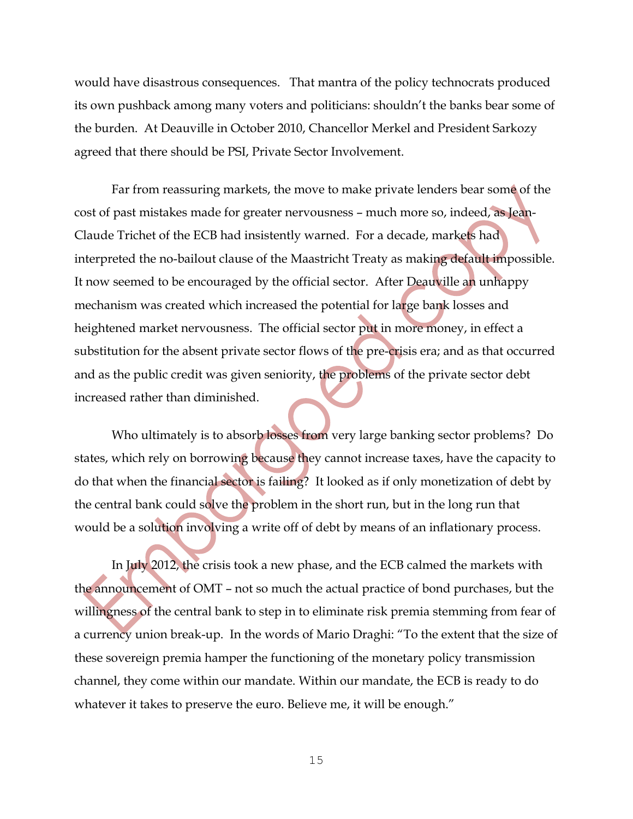would have disastrous consequences. That mantra of the policy technocrats produced its own pushback among many voters and politicians: shouldn't the banks bear some of the burden. At Deauville in October 2010, Chancellor Merkel and President Sarkozy agreed that there should be PSI, Private Sector Involvement.

Far from reassuring markets, the move to make private lenders bear some of the cost of past mistakes made for greater nervousness – much more so, indeed, as Jean-Claude Trichet of the ECB had insistently warned. For a decade, markets had interpreted the no-bailout clause of the Maastricht Treaty as making default impossible. It now seemed to be encouraged by the official sector. After Deauville an unhappy mechanism was created which increased the potential for large bank losses and heightened market nervousness. The official sector put in more money, in effect a substitution for the absent private sector flows of the pre-crisis era; and as that occurred and as the public credit was given seniority, the problems of the private sector debt increased rather than diminished.

Who ultimately is to absorb losses from very large banking sector problems? Do states, which rely on borrowing because they cannot increase taxes, have the capacity to do that when the financial sector is failing? It looked as if only monetization of debt by the central bank could solve the problem in the short run, but in the long run that would be a solution involving a write off of debt by means of an inflationary process.

In July 2012, the crisis took a new phase, and the ECB calmed the markets with the announcement of OMT – not so much the actual practice of bond purchases, but the willingness of the central bank to step in to eliminate risk premia stemming from fear of a currency union break-up. In the words of Mario Draghi: "To the extent that the size of these sovereign premia hamper the functioning of the monetary policy transmission channel, they come within our mandate. Within our mandate, the ECB is ready to do whatever it takes to preserve the euro. Believe me, it will be enough."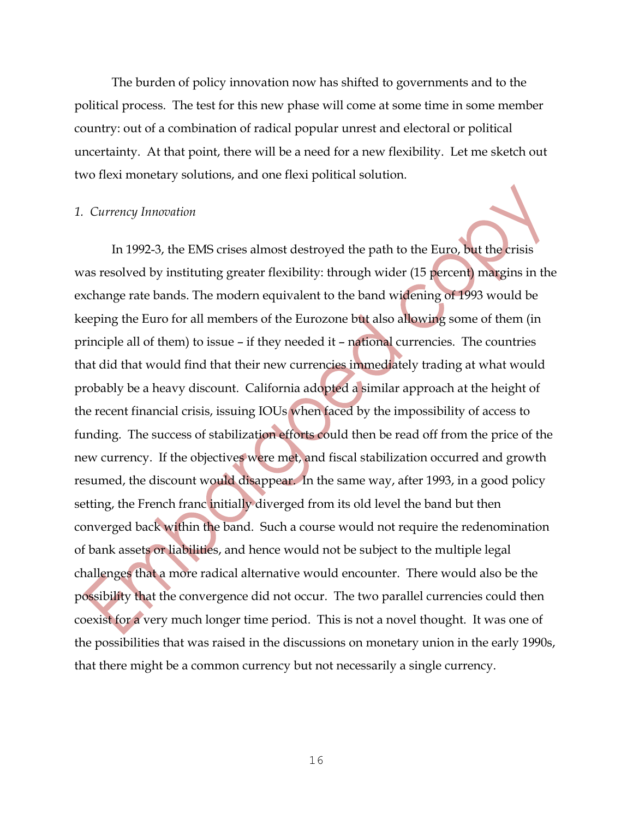The burden of policy innovation now has shifted to governments and to the political process. The test for this new phase will come at some time in some member country: out of a combination of radical popular unrest and electoral or political uncertainty. At that point, there will be a need for a new flexibility. Let me sketch out two flexi monetary solutions, and one flexi political solution.

#### *1. Currency Innovation*

In 1992-3, the EMS crises almost destroyed the path to the Euro, but the crisis was resolved by instituting greater flexibility: through wider (15 percent) margins in the exchange rate bands. The modern equivalent to the band widening of 1993 would be keeping the Euro for all members of the Eurozone but also allowing some of them (in principle all of them) to issue – if they needed it – national currencies. The countries that did that would find that their new currencies immediately trading at what would probably be a heavy discount. California adopted a similar approach at the height of the recent financial crisis, issuing IOUs when faced by the impossibility of access to funding. The success of stabilization efforts could then be read off from the price of the new currency. If the objectives were met, and fiscal stabilization occurred and growth resumed, the discount would disappear. In the same way, after 1993, in a good policy setting, the French franc initially diverged from its old level the band but then converged back within the band. Such a course would not require the redenomination of bank assets or liabilities, and hence would not be subject to the multiple legal challenges that a more radical alternative would encounter. There would also be the possibility that the convergence did not occur. The two parallel currencies could then coexist for a very much longer time period. This is not a novel thought. It was one of the possibilities that was raised in the discussions on monetary union in the early 1990s, that there might be a common currency but not necessarily a single currency.

16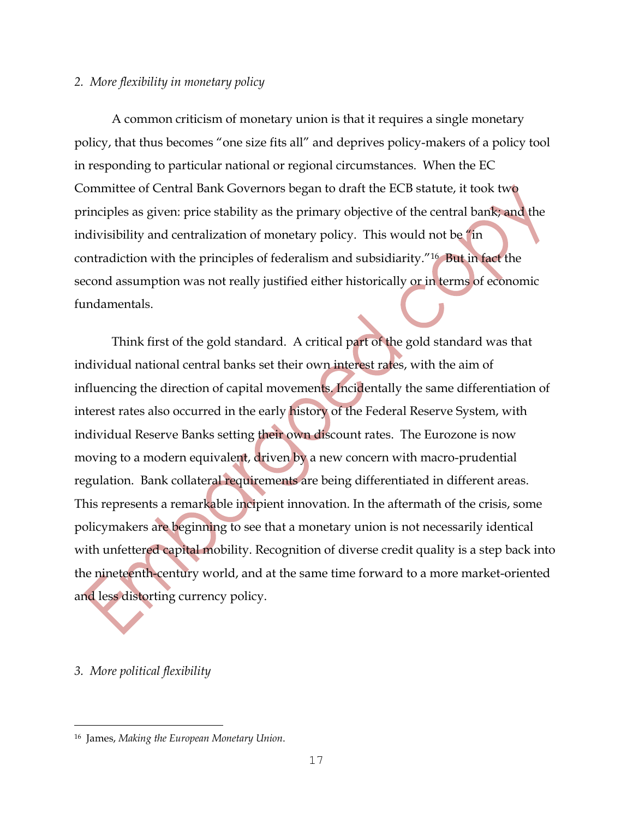### *2. More flexibility in monetary policy*

A common criticism of monetary union is that it requires a single monetary policy, that thus becomes "one size fits all" and deprives policy-makers of a policy tool in responding to particular national or regional circumstances. When the EC Committee of Central Bank Governors began to draft the ECB statute, it took two principles as given: price stability as the primary objective of the central bank; and the indivisibility and centralization of monetary policy. This would not be "in contradiction with the principles of federalism and subsidiarity."<sup>16</sup> But in fact the second assumption was not really justified either historically or in terms of economic fundamentals.

Think first of the gold standard. A critical part of the gold standard was that individual national central banks set their own interest rates, with the aim of influencing the direction of capital movements. Incidentally the same differentiation of interest rates also occurred in the early history of the Federal Reserve System, with individual Reserve Banks setting their own discount rates. The Eurozone is now moving to a modern equivalent, driven by a new concern with macro-prudential regulation. Bank collateral requirements are being differentiated in different areas. This represents a remarkable incipient innovation. In the aftermath of the crisis, some policymakers are beginning to see that a monetary union is not necessarily identical with unfettered capital mobility. Recognition of diverse credit quality is a step back into the nineteenth-century world, and at the same time forward to a more market-oriented and less distorting currency policy.

### *3. More political flexibility*

L,

<sup>16</sup> James, *Making the European Monetary Union*.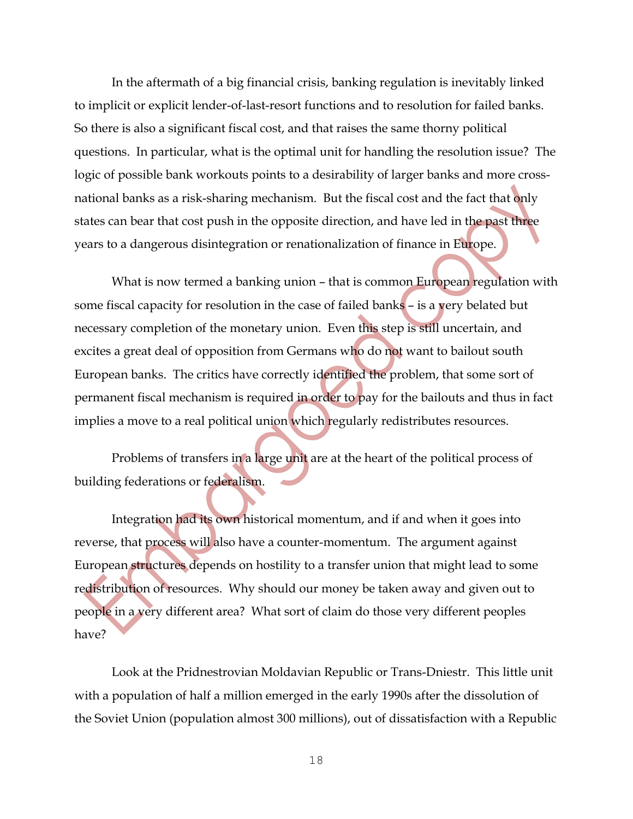In the aftermath of a big financial crisis, banking regulation is inevitably linked to implicit or explicit lender-of-last-resort functions and to resolution for failed banks. So there is also a significant fiscal cost, and that raises the same thorny political questions. In particular, what is the optimal unit for handling the resolution issue? The logic of possible bank workouts points to a desirability of larger banks and more crossnational banks as a risk-sharing mechanism. But the fiscal cost and the fact that only states can bear that cost push in the opposite direction, and have led in the past three years to a dangerous disintegration or renationalization of finance in Europe.

What is now termed a banking union - that is common European regulation with some fiscal capacity for resolution in the case of failed banks – is a very belated but necessary completion of the monetary union. Even this step is still uncertain, and excites a great deal of opposition from Germans who do not want to bailout south European banks. The critics have correctly identified the problem, that some sort of permanent fiscal mechanism is required in order to pay for the bailouts and thus in fact implies a move to a real political union which regularly redistributes resources.

Problems of transfers in a large unit are at the heart of the political process of building federations or federalism.

Integration had its own historical momentum, and if and when it goes into reverse, that process will also have a counter-momentum. The argument against European structures depends on hostility to a transfer union that might lead to some redistribution of resources. Why should our money be taken away and given out to people in a very different area? What sort of claim do those very different peoples have?

Look at the Pridnestrovian Moldavian Republic or Trans-Dniestr. This little unit with a population of half a million emerged in the early 1990s after the dissolution of the Soviet Union (population almost 300 millions), out of dissatisfaction with a Republic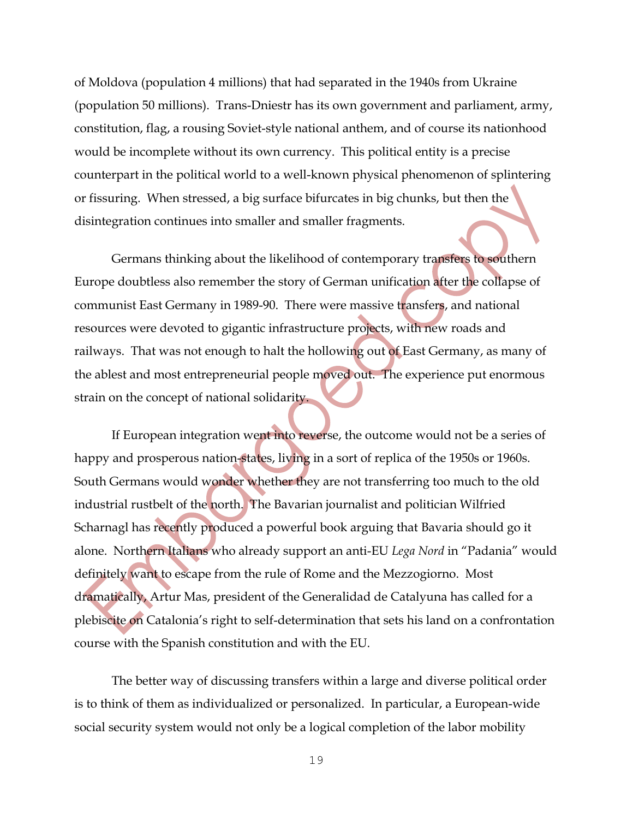of Moldova (population 4 millions) that had separated in the 1940s from Ukraine (population 50 millions). Trans-Dniestr has its own government and parliament, army, constitution, flag, a rousing Soviet-style national anthem, and of course its nationhood would be incomplete without its own currency. This political entity is a precise counterpart in the political world to a well-known physical phenomenon of splintering or fissuring. When stressed, a big surface bifurcates in big chunks, but then the disintegration continues into smaller and smaller fragments.

Germans thinking about the likelihood of contemporary transfers to southern Europe doubtless also remember the story of German unification after the collapse of communist East Germany in 1989-90. There were massive transfers, and national resources were devoted to gigantic infrastructure projects, with new roads and railways. That was not enough to halt the hollowing out of East Germany, as many of the ablest and most entrepreneurial people moved out. The experience put enormous strain on the concept of national solidarity.

If European integration went into reverse, the outcome would not be a series of happy and prosperous nation-states, living in a sort of replica of the 1950s or 1960s. South Germans would wonder whether they are not transferring too much to the old industrial rustbelt of the north. The Bavarian journalist and politician Wilfried Scharnagl has recently produced a powerful book arguing that Bavaria should go it alone. Northern Italians who already support an anti-EU *Lega Nord* in "Padania" would definitely want to escape from the rule of Rome and the Mezzogiorno. Most dramatically, Artur Mas, president of the Generalidad de Catalyuna has called for a plebiscite on Catalonia's right to self-determination that sets his land on a confrontation course with the Spanish constitution and with the EU.

The better way of discussing transfers within a large and diverse political order is to think of them as individualized or personalized. In particular, a European-wide social security system would not only be a logical completion of the labor mobility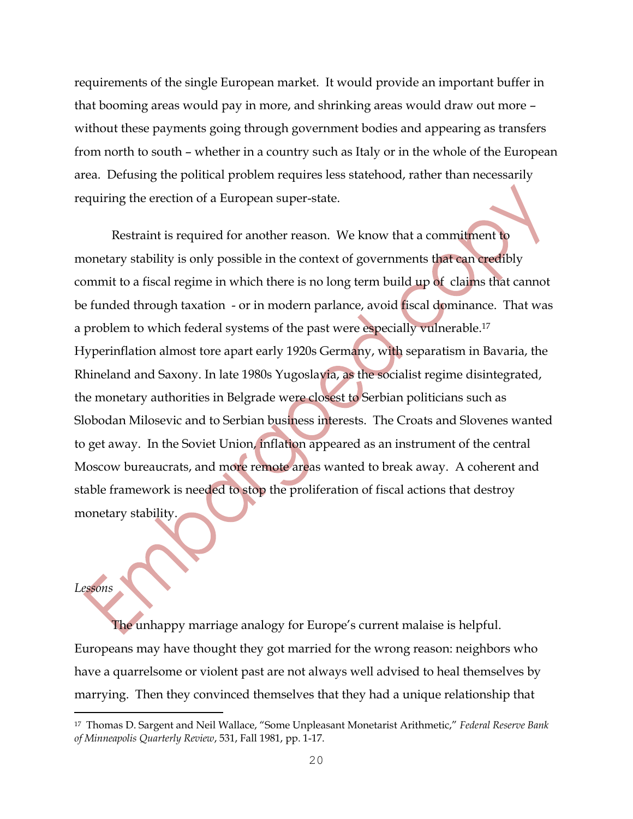requirements of the single European market. It would provide an important buffer in that booming areas would pay in more, and shrinking areas would draw out more – without these payments going through government bodies and appearing as transfers from north to south – whether in a country such as Italy or in the whole of the European area. Defusing the political problem requires less statehood, rather than necessarily requiring the erection of a European super-state.

Restraint is required for another reason. We know that a commitment to monetary stability is only possible in the context of governments that can credibly commit to a fiscal regime in which there is no long term build up of claims that cannot be funded through taxation - or in modern parlance, avoid fiscal dominance. That was a problem to which federal systems of the past were especially vulnerable.<sup>17</sup> Hyperinflation almost tore apart early 1920s Germany, with separatism in Bavaria, the Rhineland and Saxony. In late 1980s Yugoslavia, as the socialist regime disintegrated, the monetary authorities in Belgrade were closest to Serbian politicians such as Slobodan Milosevic and to Serbian business interests. The Croats and Slovenes wanted to get away. In the Soviet Union, inflation appeared as an instrument of the central Moscow bureaucrats, and more remote areas wanted to break away. A coherent and stable framework is needed to stop the proliferation of fiscal actions that destroy monetary stability.

### *Lessons*

i<br>L

The unhappy marriage analogy for Europe's current malaise is helpful. Europeans may have thought they got married for the wrong reason: neighbors who have a quarrelsome or violent past are not always well advised to heal themselves by marrying. Then they convinced themselves that they had a unique relationship that

<sup>17</sup> Thomas D. Sargent and Neil Wallace, "Some Unpleasant Monetarist Arithmetic," *Federal Reserve Bank of Minneapolis Quarterly Review*, 531, Fall 1981, pp. 1-17.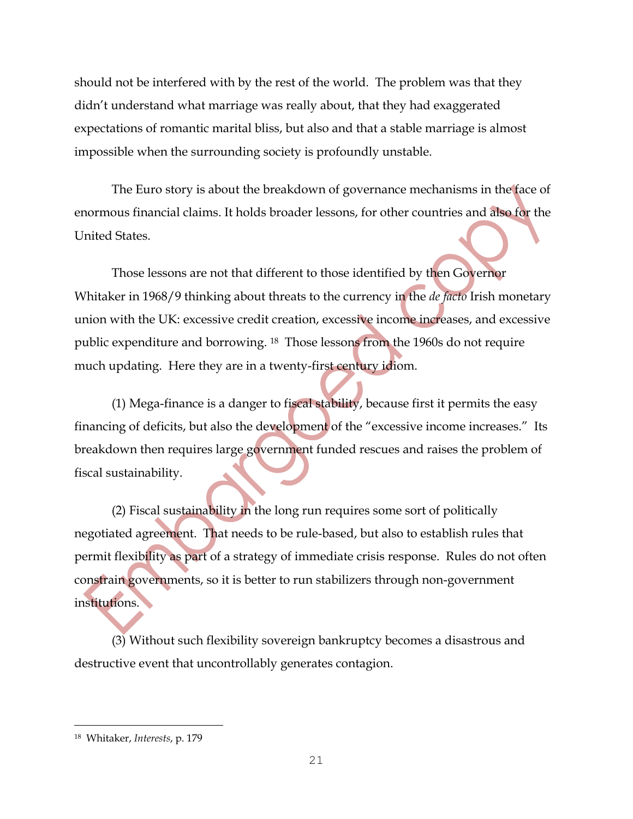should not be interfered with by the rest of the world. The problem was that they didn't understand what marriage was really about, that they had exaggerated expectations of romantic marital bliss, but also and that a stable marriage is almost impossible when the surrounding society is profoundly unstable.

The Euro story is about the breakdown of governance mechanisms in the face of enormous financial claims. It holds broader lessons, for other countries and also for the United States.

Those lessons are not that different to those identified by then Governor Whitaker in 1968/9 thinking about threats to the currency in the *de facto* Irish monetary union with the UK: excessive credit creation, excessive income increases, and excessive public expenditure and borrowing. <sup>18</sup> Those lessons from the 1960s do not require much updating. Here they are in a twenty-first century idiom.

(1) Mega-finance is a danger to fiscal stability, because first it permits the easy financing of deficits, but also the development of the "excessive income increases." Its breakdown then requires large government funded rescues and raises the problem of fiscal sustainability.

(2) Fiscal sustainability in the long run requires some sort of politically negotiated agreement. That needs to be rule-based, but also to establish rules that permit flexibility as part of a strategy of immediate crisis response. Rules do not often constrain governments, so it is better to run stabilizers through non-government institutions.

(3) Without such flexibility sovereign bankruptcy becomes a disastrous and destructive event that uncontrollably generates contagion.

L,

<sup>18</sup> Whitaker, *Interests*, p. 179